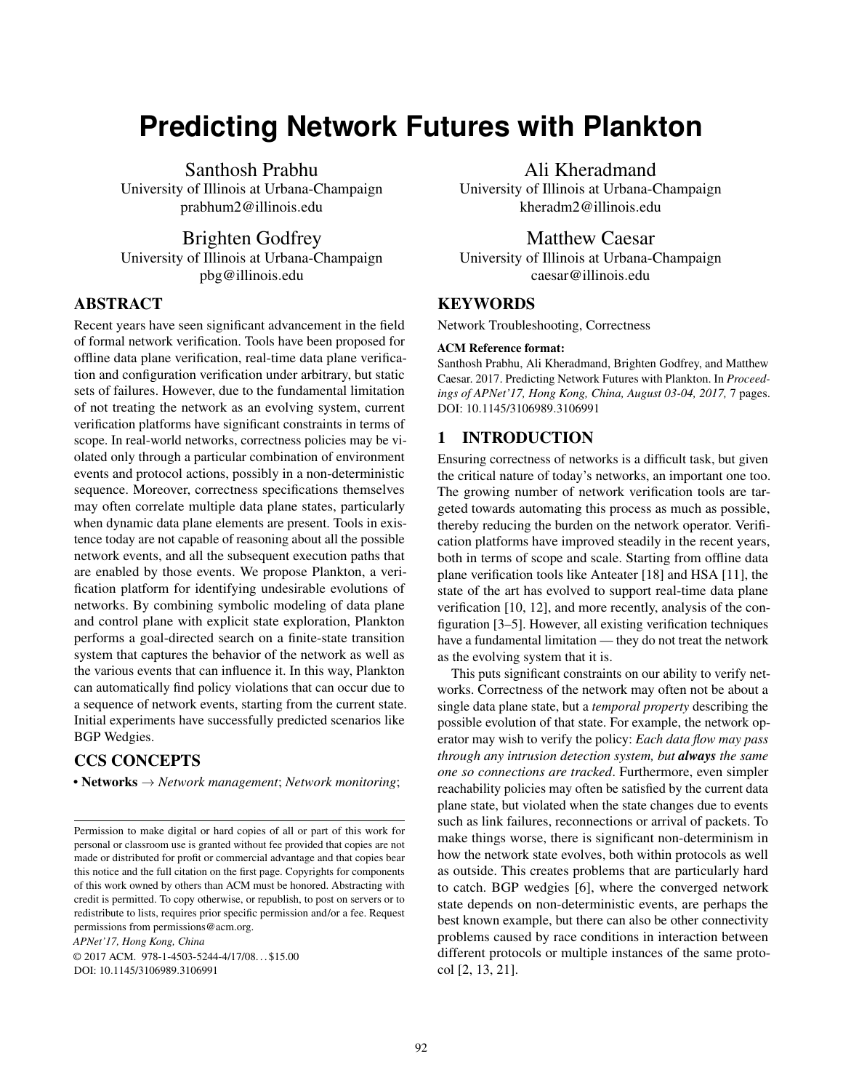# **Predicting Network Futures with Plankton**

Santhosh Prabhu

University of Illinois at Urbana-Champaign prabhum2@illinois.edu

Brighten Godfrey

University of Illinois at Urbana-Champaign pbg@illinois.edu

# ABSTRACT

Recent years have seen significant advancement in the field of formal network verification. Tools have been proposed for offline data plane verification, real-time data plane verification and configuration verification under arbitrary, but static sets of failures. However, due to the fundamental limitation of not treating the network as an evolving system, current verification platforms have significant constraints in terms of scope. In real-world networks, correctness policies may be violated only through a particular combination of environment events and protocol actions, possibly in a non-deterministic sequence. Moreover, correctness specifications themselves may often correlate multiple data plane states, particularly when dynamic data plane elements are present. Tools in existence today are not capable of reasoning about all the possible network events, and all the subsequent execution paths that are enabled by those events. We propose Plankton, a verification platform for identifying undesirable evolutions of networks. By combining symbolic modeling of data plane and control plane with explicit state exploration, Plankton performs a goal-directed search on a finite-state transition system that captures the behavior of the network as well as the various events that can influence it. In this way, Plankton can automatically find policy violations that can occur due to a sequence of network events, starting from the current state. Initial experiments have successfully predicted scenarios like BGP Wedgies.

# CCS CONCEPTS

• Networks → *Network management*; *Network monitoring*;

*APNet'17, Hong Kong, China*

© 2017 ACM. 978-1-4503-5244-4/17/08. . . \$15.00 DOI: 10.1145/3106989.3106991

Ali Kheradmand

University of Illinois at Urbana-Champaign kheradm2@illinois.edu

# Matthew Caesar

University of Illinois at Urbana-Champaign caesar@illinois.edu

# **KEYWORDS**

Network Troubleshooting, Correctness

#### ACM Reference format:

Santhosh Prabhu, Ali Kheradmand, Brighten Godfrey, and Matthew Caesar. 2017. Predicting Network Futures with Plankton. In *Proceedings of APNet'17, Hong Kong, China, August 03-04, 2017,* [7](#page-6-0) pages. DOI: 10.1145/3106989.3106991

#### 1 INTRODUCTION

Ensuring correctness of networks is a difficult task, but given the critical nature of today's networks, an important one too. The growing number of network verification tools are targeted towards automating this process as much as possible, thereby reducing the burden on the network operator. Verification platforms have improved steadily in the recent years, both in terms of scope and scale. Starting from offline data plane verification tools like Anteater [\[18\]](#page-6-1) and HSA [\[11\]](#page-6-2), the state of the art has evolved to support real-time data plane verification [\[10,](#page-6-3) [12\]](#page-6-4), and more recently, analysis of the configuration [\[3](#page-6-5)[–5\]](#page-6-6). However, all existing verification techniques have a fundamental limitation — they do not treat the network as the evolving system that it is.

This puts significant constraints on our ability to verify networks. Correctness of the network may often not be about a single data plane state, but a *temporal property* describing the possible evolution of that state. For example, the network operator may wish to verify the policy: *Each data flow may pass through any intrusion detection system, but always the same one so connections are tracked*. Furthermore, even simpler reachability policies may often be satisfied by the current data plane state, but violated when the state changes due to events such as link failures, reconnections or arrival of packets. To make things worse, there is significant non-determinism in how the network state evolves, both within protocols as well as outside. This creates problems that are particularly hard to catch. BGP wedgies [\[6\]](#page-6-7), where the converged network state depends on non-deterministic events, are perhaps the best known example, but there can also be other connectivity problems caused by race conditions in interaction between different protocols or multiple instances of the same protocol [\[2,](#page-6-8) [13,](#page-6-9) [21\]](#page-6-10).

Permission to make digital or hard copies of all or part of this work for personal or classroom use is granted without fee provided that copies are not made or distributed for profit or commercial advantage and that copies bear this notice and the full citation on the first page. Copyrights for components of this work owned by others than ACM must be honored. Abstracting with credit is permitted. To copy otherwise, or republish, to post on servers or to redistribute to lists, requires prior specific permission and/or a fee. Request permissions from permissions@acm.org.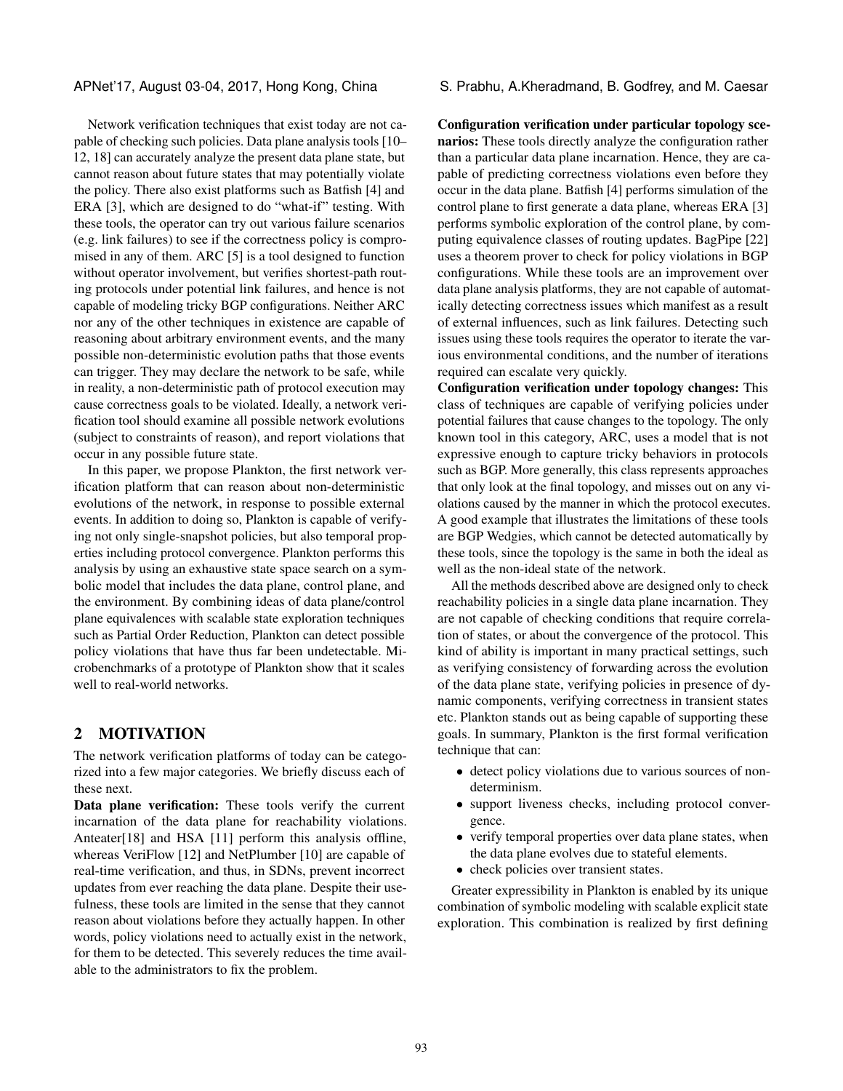Network verification techniques that exist today are not capable of checking such policies. Data plane analysis tools [\[10–](#page-6-3) [12,](#page-6-4) [18\]](#page-6-1) can accurately analyze the present data plane state, but cannot reason about future states that may potentially violate the policy. There also exist platforms such as Batfish [\[4\]](#page-6-11) and ERA [\[3\]](#page-6-5), which are designed to do "what-if" testing. With these tools, the operator can try out various failure scenarios (e.g. link failures) to see if the correctness policy is compromised in any of them. ARC [\[5\]](#page-6-6) is a tool designed to function without operator involvement, but verifies shortest-path routing protocols under potential link failures, and hence is not capable of modeling tricky BGP configurations. Neither ARC nor any of the other techniques in existence are capable of reasoning about arbitrary environment events, and the many possible non-deterministic evolution paths that those events can trigger. They may declare the network to be safe, while in reality, a non-deterministic path of protocol execution may cause correctness goals to be violated. Ideally, a network verification tool should examine all possible network evolutions (subject to constraints of reason), and report violations that occur in any possible future state.

In this paper, we propose Plankton, the first network verification platform that can reason about non-deterministic evolutions of the network, in response to possible external events. In addition to doing so, Plankton is capable of verifying not only single-snapshot policies, but also temporal properties including protocol convergence. Plankton performs this analysis by using an exhaustive state space search on a symbolic model that includes the data plane, control plane, and the environment. By combining ideas of data plane/control plane equivalences with scalable state exploration techniques such as Partial Order Reduction, Plankton can detect possible policy violations that have thus far been undetectable. Microbenchmarks of a prototype of Plankton show that it scales well to real-world networks.

# 2 MOTIVATION

The network verification platforms of today can be categorized into a few major categories. We briefly discuss each of these next.

Data plane verification: These tools verify the current incarnation of the data plane for reachability violations. Anteater[\[18\]](#page-6-1) and HSA [\[11\]](#page-6-2) perform this analysis offline, whereas VeriFlow [\[12\]](#page-6-4) and NetPlumber [\[10\]](#page-6-3) are capable of real-time verification, and thus, in SDNs, prevent incorrect updates from ever reaching the data plane. Despite their usefulness, these tools are limited in the sense that they cannot reason about violations before they actually happen. In other words, policy violations need to actually exist in the network, for them to be detected. This severely reduces the time available to the administrators to fix the problem.

APNet'17, August 03-04, 2017, Hong Kong, China S. Prabhu, A.Kheradmand, B. Godfrey, and M. Caesar

Configuration verification under particular topology scenarios: These tools directly analyze the configuration rather than a particular data plane incarnation. Hence, they are capable of predicting correctness violations even before they occur in the data plane. Batfish [\[4\]](#page-6-11) performs simulation of the control plane to first generate a data plane, whereas ERA [\[3\]](#page-6-5) performs symbolic exploration of the control plane, by computing equivalence classes of routing updates. BagPipe [\[22\]](#page-6-12) uses a theorem prover to check for policy violations in BGP configurations. While these tools are an improvement over data plane analysis platforms, they are not capable of automatically detecting correctness issues which manifest as a result of external influences, such as link failures. Detecting such issues using these tools requires the operator to iterate the various environmental conditions, and the number of iterations required can escalate very quickly.

Configuration verification under topology changes: This class of techniques are capable of verifying policies under potential failures that cause changes to the topology. The only known tool in this category, ARC, uses a model that is not expressive enough to capture tricky behaviors in protocols such as BGP. More generally, this class represents approaches that only look at the final topology, and misses out on any violations caused by the manner in which the protocol executes. A good example that illustrates the limitations of these tools are BGP Wedgies, which cannot be detected automatically by these tools, since the topology is the same in both the ideal as well as the non-ideal state of the network.

All the methods described above are designed only to check reachability policies in a single data plane incarnation. They are not capable of checking conditions that require correlation of states, or about the convergence of the protocol. This kind of ability is important in many practical settings, such as verifying consistency of forwarding across the evolution of the data plane state, verifying policies in presence of dynamic components, verifying correctness in transient states etc. Plankton stands out as being capable of supporting these goals. In summary, Plankton is the first formal verification technique that can:

- detect policy violations due to various sources of nondeterminism.
- support liveness checks, including protocol convergence.
- verify temporal properties over data plane states, when the data plane evolves due to stateful elements.
- check policies over transient states.

Greater expressibility in Plankton is enabled by its unique combination of symbolic modeling with scalable explicit state exploration. This combination is realized by first defining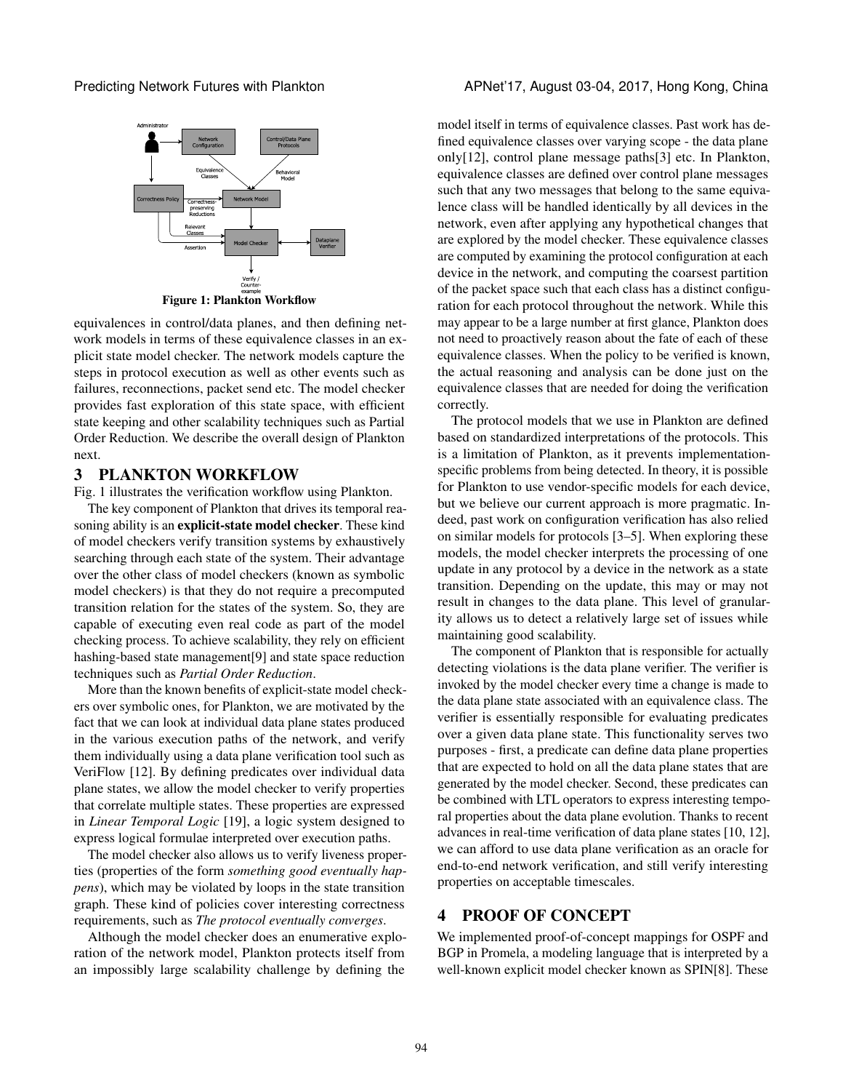<span id="page-2-0"></span>



equivalences in control/data planes, and then defining network models in terms of these equivalence classes in an explicit state model checker. The network models capture the steps in protocol execution as well as other events such as failures, reconnections, packet send etc. The model checker provides fast exploration of this state space, with efficient state keeping and other scalability techniques such as Partial Order Reduction. We describe the overall design of Plankton next.

#### <span id="page-2-1"></span>3 PLANKTON WORKFLOW

Fig. [1](#page-2-0) illustrates the verification workflow using Plankton.

The key component of Plankton that drives its temporal reasoning ability is an explicit-state model checker. These kind of model checkers verify transition systems by exhaustively searching through each state of the system. Their advantage over the other class of model checkers (known as symbolic model checkers) is that they do not require a precomputed transition relation for the states of the system. So, they are capable of executing even real code as part of the model checking process. To achieve scalability, they rely on efficient hashing-based state management[\[9\]](#page-6-13) and state space reduction techniques such as *Partial Order Reduction*.

More than the known benefits of explicit-state model checkers over symbolic ones, for Plankton, we are motivated by the fact that we can look at individual data plane states produced in the various execution paths of the network, and verify them individually using a data plane verification tool such as VeriFlow [\[12\]](#page-6-4). By defining predicates over individual data plane states, we allow the model checker to verify properties that correlate multiple states. These properties are expressed in *Linear Temporal Logic* [\[19\]](#page-6-14), a logic system designed to express logical formulae interpreted over execution paths.

The model checker also allows us to verify liveness properties (properties of the form *something good eventually happens*), which may be violated by loops in the state transition graph. These kind of policies cover interesting correctness requirements, such as *The protocol eventually converges*.

Although the model checker does an enumerative exploration of the network model, Plankton protects itself from an impossibly large scalability challenge by defining the

model itself in terms of equivalence classes. Past work has defined equivalence classes over varying scope - the data plane only[\[12\]](#page-6-4), control plane message paths[\[3\]](#page-6-5) etc. In Plankton, equivalence classes are defined over control plane messages such that any two messages that belong to the same equivalence class will be handled identically by all devices in the network, even after applying any hypothetical changes that are explored by the model checker. These equivalence classes are computed by examining the protocol configuration at each device in the network, and computing the coarsest partition of the packet space such that each class has a distinct configuration for each protocol throughout the network. While this may appear to be a large number at first glance, Plankton does not need to proactively reason about the fate of each of these equivalence classes. When the policy to be verified is known, the actual reasoning and analysis can be done just on the equivalence classes that are needed for doing the verification correctly.

The protocol models that we use in Plankton are defined based on standardized interpretations of the protocols. This is a limitation of Plankton, as it prevents implementationspecific problems from being detected. In theory, it is possible for Plankton to use vendor-specific models for each device, but we believe our current approach is more pragmatic. Indeed, past work on configuration verification has also relied on similar models for protocols [\[3](#page-6-5)[–5\]](#page-6-6). When exploring these models, the model checker interprets the processing of one update in any protocol by a device in the network as a state transition. Depending on the update, this may or may not result in changes to the data plane. This level of granularity allows us to detect a relatively large set of issues while maintaining good scalability.

The component of Plankton that is responsible for actually detecting violations is the data plane verifier. The verifier is invoked by the model checker every time a change is made to the data plane state associated with an equivalence class. The verifier is essentially responsible for evaluating predicates over a given data plane state. This functionality serves two purposes - first, a predicate can define data plane properties that are expected to hold on all the data plane states that are generated by the model checker. Second, these predicates can be combined with LTL operators to express interesting temporal properties about the data plane evolution. Thanks to recent advances in real-time verification of data plane states [\[10,](#page-6-3) [12\]](#page-6-4), we can afford to use data plane verification as an oracle for end-to-end network verification, and still verify interesting properties on acceptable timescales.

#### 4 PROOF OF CONCEPT

We implemented proof-of-concept mappings for OSPF and BGP in Promela, a modeling language that is interpreted by a well-known explicit model checker known as SPIN[\[8\]](#page-6-15). These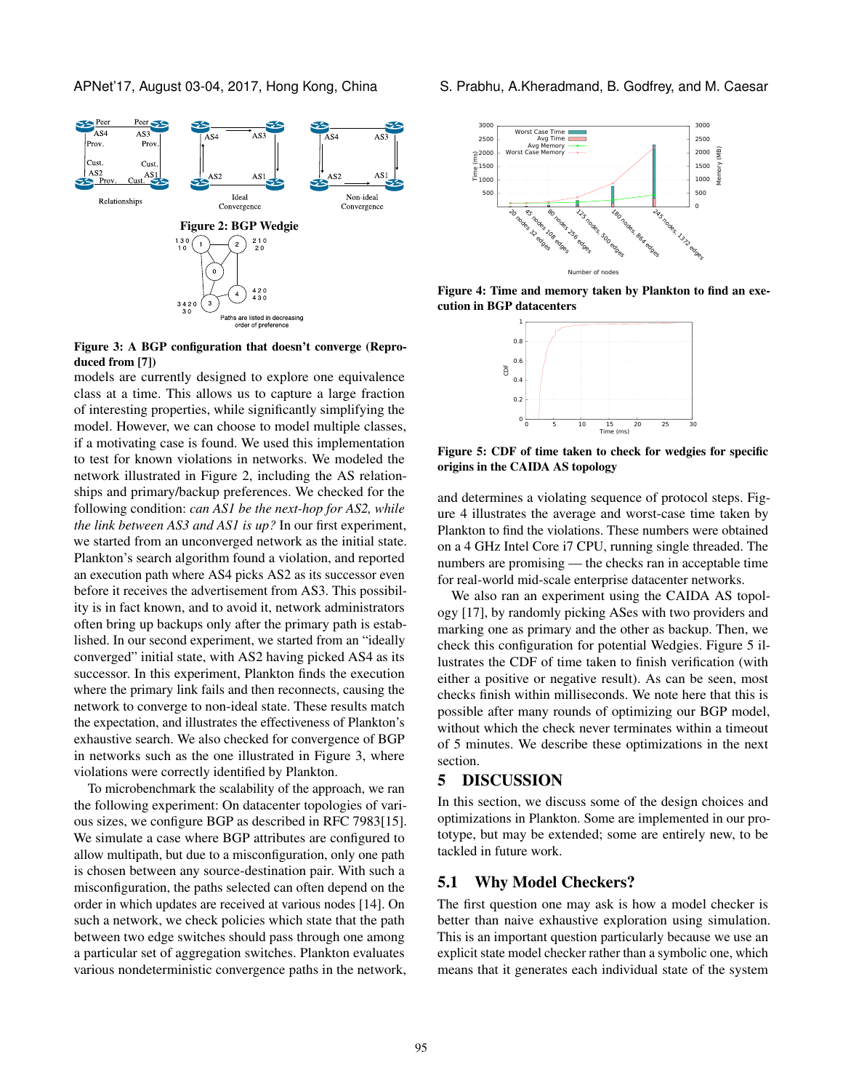<span id="page-3-0"></span>

<span id="page-3-1"></span>Figure 3: A BGP configuration that doesn't converge (Reproduced from [\[7\]](#page-6-16))

models are currently designed to explore one equivalence class at a time. This allows us to capture a large fraction of interesting properties, while significantly simplifying the model. However, we can choose to model multiple classes, if a motivating case is found. We used this implementation to test for known violations in networks. We modeled the network illustrated in Figure [2,](#page-3-0) including the AS relationships and primary/backup preferences. We checked for the following condition: *can AS1 be the next-hop for AS2, while the link between AS3 and AS1 is up?* In our first experiment, we started from an unconverged network as the initial state. Plankton's search algorithm found a violation, and reported an execution path where AS4 picks AS2 as its successor even before it receives the advertisement from AS3. This possibility is in fact known, and to avoid it, network administrators often bring up backups only after the primary path is established. In our second experiment, we started from an "ideally converged" initial state, with AS2 having picked AS4 as its successor. In this experiment, Plankton finds the execution where the primary link fails and then reconnects, causing the network to converge to non-ideal state. These results match the expectation, and illustrates the effectiveness of Plankton's exhaustive search. We also checked for convergence of BGP in networks such as the one illustrated in Figure [3,](#page-3-1) where violations were correctly identified by Plankton.

To microbenchmark the scalability of the approach, we ran the following experiment: On datacenter topologies of various sizes, we configure BGP as described in RFC 7983[\[15\]](#page-6-17). We simulate a case where BGP attributes are configured to allow multipath, but due to a misconfiguration, only one path is chosen between any source-destination pair. With such a misconfiguration, the paths selected can often depend on the order in which updates are received at various nodes [\[14\]](#page-6-18). On such a network, we check policies which state that the path between two edge switches should pass through one among a particular set of aggregation switches. Plankton evaluates various nondeterministic convergence paths in the network,

APNet'17, August 03-04, 2017, Hong Kong, China S. Prabhu, A.Kheradmand, B. Godfrey, and M. Caesar

<span id="page-3-2"></span>

<span id="page-3-3"></span>Figure 4: Time and memory taken by Plankton to find an execution in BGP datacenters



Figure 5: CDF of time taken to check for wedgies for specific origins in the CAIDA AS topology

and determines a violating sequence of protocol steps. Figure [4](#page-3-2) illustrates the average and worst-case time taken by Plankton to find the violations. These numbers were obtained on a 4 GHz Intel Core i7 CPU, running single threaded. The numbers are promising — the checks ran in acceptable time for real-world mid-scale enterprise datacenter networks.

We also ran an experiment using the CAIDA AS topology [\[17\]](#page-6-19), by randomly picking ASes with two providers and marking one as primary and the other as backup. Then, we check this configuration for potential Wedgies. Figure [5](#page-3-3) illustrates the CDF of time taken to finish verification (with either a positive or negative result). As can be seen, most checks finish within milliseconds. We note here that this is possible after many rounds of optimizing our BGP model, without which the check never terminates within a timeout of 5 minutes. We describe these optimizations in the next section.

#### 5 DISCUSSION

In this section, we discuss some of the design choices and optimizations in Plankton. Some are implemented in our prototype, but may be extended; some are entirely new, to be tackled in future work.

#### 5.1 Why Model Checkers?

The first question one may ask is how a model checker is better than naive exhaustive exploration using simulation. This is an important question particularly because we use an explicit state model checker rather than a symbolic one, which means that it generates each individual state of the system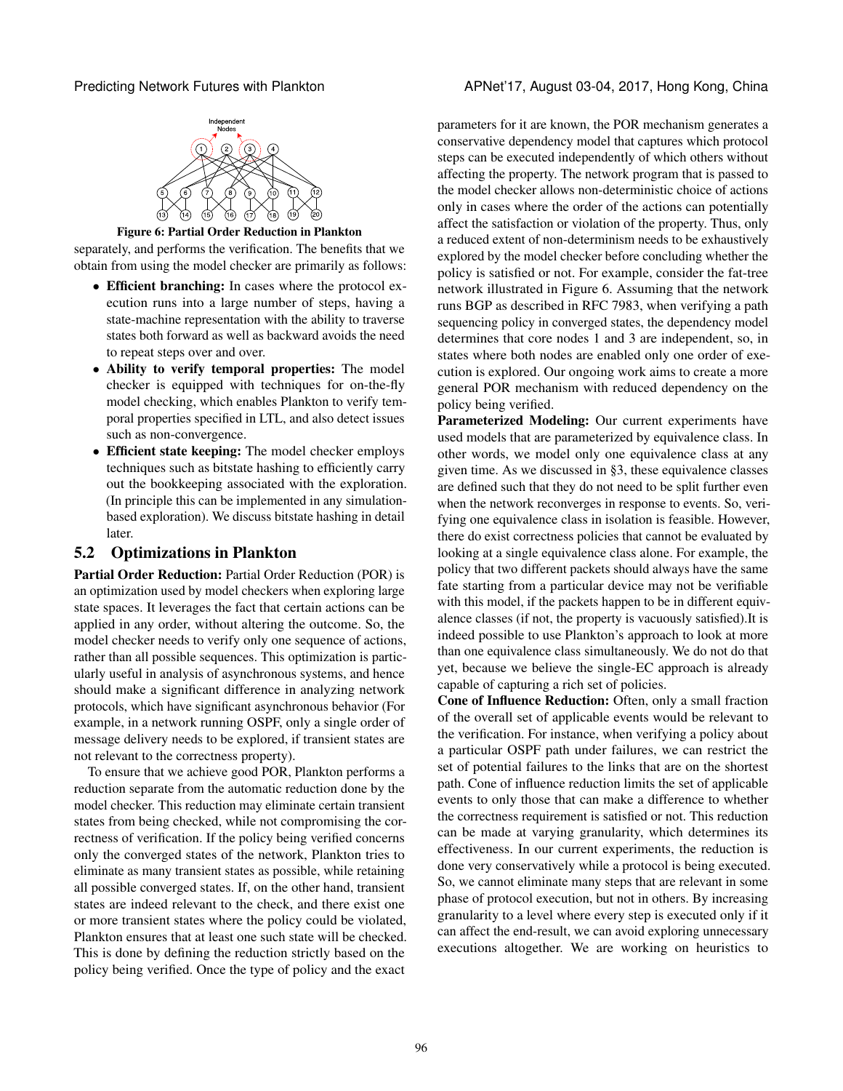<span id="page-4-0"></span>



Figure 6: Partial Order Reduction in Plankton

separately, and performs the verification. The benefits that we obtain from using the model checker are primarily as follows:

- Efficient branching: In cases where the protocol execution runs into a large number of steps, having a state-machine representation with the ability to traverse states both forward as well as backward avoids the need to repeat steps over and over.
- Ability to verify temporal properties: The model checker is equipped with techniques for on-the-fly model checking, which enables Plankton to verify temporal properties specified in LTL, and also detect issues such as non-convergence.
- Efficient state keeping: The model checker employs techniques such as bitstate hashing to efficiently carry out the bookkeeping associated with the exploration. (In principle this can be implemented in any simulationbased exploration). We discuss bitstate hashing in detail later.

# 5.2 Optimizations in Plankton

Partial Order Reduction: Partial Order Reduction (POR) is an optimization used by model checkers when exploring large state spaces. It leverages the fact that certain actions can be applied in any order, without altering the outcome. So, the model checker needs to verify only one sequence of actions, rather than all possible sequences. This optimization is particularly useful in analysis of asynchronous systems, and hence should make a significant difference in analyzing network protocols, which have significant asynchronous behavior (For example, in a network running OSPF, only a single order of message delivery needs to be explored, if transient states are not relevant to the correctness property).

To ensure that we achieve good POR, Plankton performs a reduction separate from the automatic reduction done by the model checker. This reduction may eliminate certain transient states from being checked, while not compromising the correctness of verification. If the policy being verified concerns only the converged states of the network, Plankton tries to eliminate as many transient states as possible, while retaining all possible converged states. If, on the other hand, transient states are indeed relevant to the check, and there exist one or more transient states where the policy could be violated, Plankton ensures that at least one such state will be checked. This is done by defining the reduction strictly based on the policy being verified. Once the type of policy and the exact

parameters for it are known, the POR mechanism generates a conservative dependency model that captures which protocol steps can be executed independently of which others without affecting the property. The network program that is passed to the model checker allows non-deterministic choice of actions only in cases where the order of the actions can potentially affect the satisfaction or violation of the property. Thus, only a reduced extent of non-determinism needs to be exhaustively explored by the model checker before concluding whether the policy is satisfied or not. For example, consider the fat-tree network illustrated in Figure [6.](#page-4-0) Assuming that the network runs BGP as described in RFC 7983, when verifying a path sequencing policy in converged states, the dependency model determines that core nodes 1 and 3 are independent, so, in states where both nodes are enabled only one order of execution is explored. Our ongoing work aims to create a more general POR mechanism with reduced dependency on the policy being verified.

Parameterized Modeling: Our current experiments have used models that are parameterized by equivalence class. In other words, we model only one equivalence class at any given time. As we discussed in [§3,](#page-2-1) these equivalence classes are defined such that they do not need to be split further even when the network reconverges in response to events. So, verifying one equivalence class in isolation is feasible. However, there do exist correctness policies that cannot be evaluated by looking at a single equivalence class alone. For example, the policy that two different packets should always have the same fate starting from a particular device may not be verifiable with this model, if the packets happen to be in different equivalence classes (if not, the property is vacuously satisfied).It is indeed possible to use Plankton's approach to look at more than one equivalence class simultaneously. We do not do that yet, because we believe the single-EC approach is already capable of capturing a rich set of policies.

Cone of Influence Reduction: Often, only a small fraction of the overall set of applicable events would be relevant to the verification. For instance, when verifying a policy about a particular OSPF path under failures, we can restrict the set of potential failures to the links that are on the shortest path. Cone of influence reduction limits the set of applicable events to only those that can make a difference to whether the correctness requirement is satisfied or not. This reduction can be made at varying granularity, which determines its effectiveness. In our current experiments, the reduction is done very conservatively while a protocol is being executed. So, we cannot eliminate many steps that are relevant in some phase of protocol execution, but not in others. By increasing granularity to a level where every step is executed only if it can affect the end-result, we can avoid exploring unnecessary executions altogether. We are working on heuristics to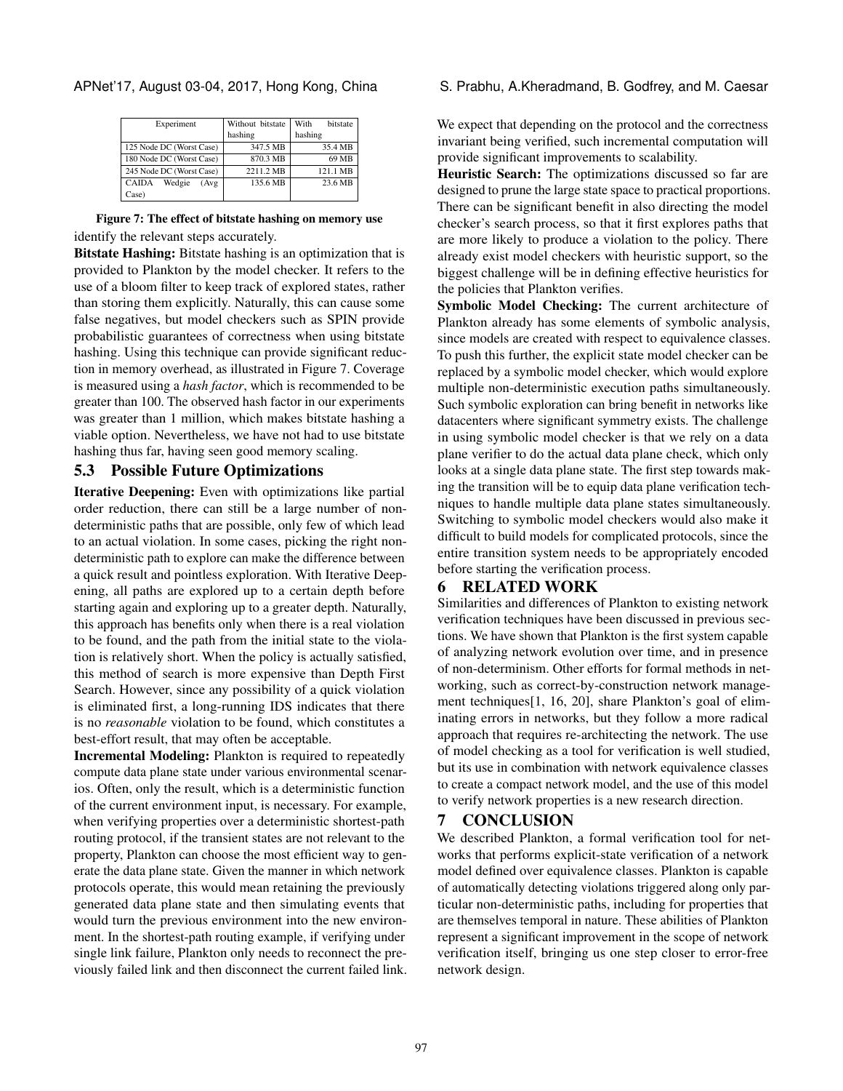| Experiment                      | Without bitstate | With<br>bitstate |
|---------------------------------|------------------|------------------|
|                                 | hashing          | hashing          |
| 125 Node DC (Worst Case)        | 347.5 MB         | 35.4 MB          |
| 180 Node DC (Worst Case)        | 870.3 MB         | 69 MB            |
| 245 Node DC (Worst Case)        | 2211.2 MB        | 121.1 MB         |
| <b>CAIDA</b><br>Wedgie<br>(Avg) | 135.6 MB         | 23.6 MB          |
| Case)                           |                  |                  |

#### Figure 7: The effect of bitstate hashing on memory use identify the relevant steps accurately.

Bitstate Hashing: Bitstate hashing is an optimization that is provided to Plankton by the model checker. It refers to the use of a bloom filter to keep track of explored states, rather than storing them explicitly. Naturally, this can cause some false negatives, but model checkers such as SPIN provide probabilistic guarantees of correctness when using bitstate hashing. Using this technique can provide significant reduction in memory overhead, as illustrated in Figure [7.](#page-5-0) Coverage is measured using a *hash factor*, which is recommended to be greater than 100. The observed hash factor in our experiments was greater than 1 million, which makes bitstate hashing a viable option. Nevertheless, we have not had to use bitstate hashing thus far, having seen good memory scaling.

## 5.3 Possible Future Optimizations

Iterative Deepening: Even with optimizations like partial order reduction, there can still be a large number of nondeterministic paths that are possible, only few of which lead to an actual violation. In some cases, picking the right nondeterministic path to explore can make the difference between a quick result and pointless exploration. With Iterative Deepening, all paths are explored up to a certain depth before starting again and exploring up to a greater depth. Naturally, this approach has benefits only when there is a real violation to be found, and the path from the initial state to the violation is relatively short. When the policy is actually satisfied, this method of search is more expensive than Depth First Search. However, since any possibility of a quick violation is eliminated first, a long-running IDS indicates that there is no *reasonable* violation to be found, which constitutes a best-effort result, that may often be acceptable.

Incremental Modeling: Plankton is required to repeatedly compute data plane state under various environmental scenarios. Often, only the result, which is a deterministic function of the current environment input, is necessary. For example, when verifying properties over a deterministic shortest-path routing protocol, if the transient states are not relevant to the property, Plankton can choose the most efficient way to generate the data plane state. Given the manner in which network protocols operate, this would mean retaining the previously generated data plane state and then simulating events that would turn the previous environment into the new environment. In the shortest-path routing example, if verifying under single link failure, Plankton only needs to reconnect the previously failed link and then disconnect the current failed link.

#### <span id="page-5-0"></span>APNet'17, August 03-04, 2017, Hong Kong, China S. Prabhu, A.Kheradmand, B. Godfrey, and M. Caesar

We expect that depending on the protocol and the correctness invariant being verified, such incremental computation will provide significant improvements to scalability.

Heuristic Search: The optimizations discussed so far are designed to prune the large state space to practical proportions. There can be significant benefit in also directing the model checker's search process, so that it first explores paths that are more likely to produce a violation to the policy. There already exist model checkers with heuristic support, so the biggest challenge will be in defining effective heuristics for the policies that Plankton verifies.

Symbolic Model Checking: The current architecture of Plankton already has some elements of symbolic analysis, since models are created with respect to equivalence classes. To push this further, the explicit state model checker can be replaced by a symbolic model checker, which would explore multiple non-deterministic execution paths simultaneously. Such symbolic exploration can bring benefit in networks like datacenters where significant symmetry exists. The challenge in using symbolic model checker is that we rely on a data plane verifier to do the actual data plane check, which only looks at a single data plane state. The first step towards making the transition will be to equip data plane verification techniques to handle multiple data plane states simultaneously. Switching to symbolic model checkers would also make it difficult to build models for complicated protocols, since the entire transition system needs to be appropriately encoded before starting the verification process.

### 6 RELATED WORK

Similarities and differences of Plankton to existing network verification techniques have been discussed in previous sections. We have shown that Plankton is the first system capable of analyzing network evolution over time, and in presence of non-determinism. Other efforts for formal methods in networking, such as correct-by-construction network management techniques[\[1,](#page-6-20) [16,](#page-6-21) [20\]](#page-6-22), share Plankton's goal of eliminating errors in networks, but they follow a more radical approach that requires re-architecting the network. The use of model checking as a tool for verification is well studied, but its use in combination with network equivalence classes to create a compact network model, and the use of this model to verify network properties is a new research direction.

# 7 CONCLUSION

We described Plankton, a formal verification tool for networks that performs explicit-state verification of a network model defined over equivalence classes. Plankton is capable of automatically detecting violations triggered along only particular non-deterministic paths, including for properties that are themselves temporal in nature. These abilities of Plankton represent a significant improvement in the scope of network verification itself, bringing us one step closer to error-free network design.